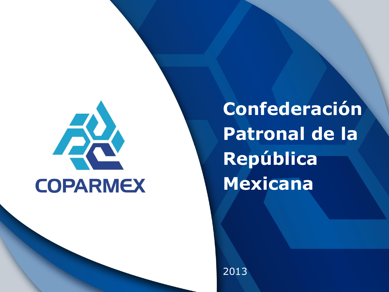

**Confederación Patronal de la República Mexicana**

2013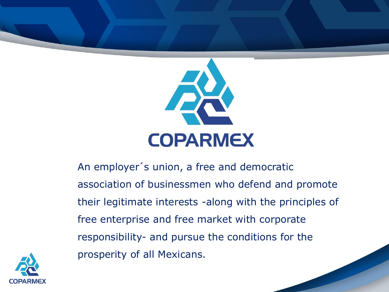

An employer´s union, a free and democratic association of businessmen who defend and promote their legitimate interests -along with the principles of free enterprise and free market with corporate responsibility- and pursue the conditions for the prosperity of all Mexicans.

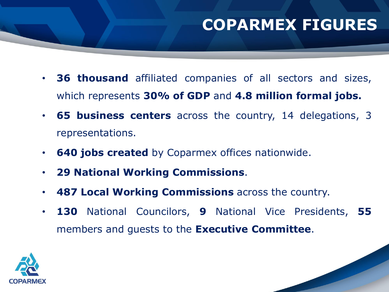## **COPARMEX FIGURES**

- **36 thousand** affiliated companies of all sectors and sizes, which represents **30% of GDP** and **4.8 million formal jobs.**
- **65 business centers** across the country, 14 delegations, 3 representations.
- **640 jobs created** by Coparmex offices nationwide.
- **29 National Working Commissions**.
- **487 Local Working Commissions** across the country.
- **130** National Councilors, **9** National Vice Presidents, **55** members and guests to the **Executive Committee**.

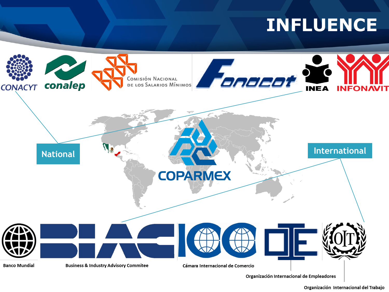# **INFLUENCE**

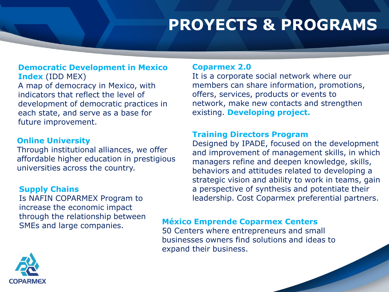## **PROYECTS & PROGRAMS**

#### **Democratic Development in Mexico Index** (IDD MEX)

A map of democracy in Mexico, with indicators that reflect the level of development of democratic practices in each state, and serve as a base for future improvement.

#### **Online University**

Through institutional alliances, we offer affordable higher education in prestigious universities across the country.

#### **Supply Chains**

Is NAFIN COPARMEX Program to increase the economic impact through the relationship between SMEs and large companies.

#### **Coparmex 2.0**

It is a corporate social network where our members can share information, promotions, offers, services, products or events to network, make new contacts and strengthen existing. **Developing project.**

#### **Training Directors Program**

Designed by IPADE, focused on the development and improvement of management skills, in which managers refine and deepen knowledge, skills, behaviors and attitudes related to developing a strategic vision and ability to work in teams, gain a perspective of synthesis and potentiate their leadership. Cost Coparmex preferential partners.

#### **México Emprende Coparmex Centers**

50 Centers where entrepreneurs and small businesses owners find solutions and ideas to expand their business.

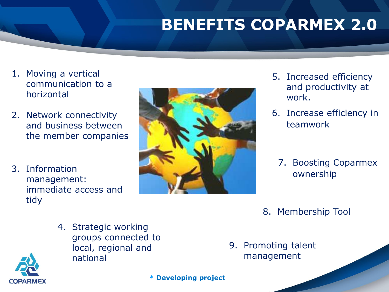# **BENEFITS COPARMEX 2.0**

- 1. Moving a vertical communication to a horizontal
- 2. Network connectivity and business between the member companies
- management: immediate access and tidy



- 5. Increased efficiency and productivity at work.
- 6. Increase efficiency in teamwork
	- 7. Boosting Coparmex
- 8. Membership Tool

4. Strategic working groups connected to local, regional and national

9. Promoting talent management



**\* Developing project**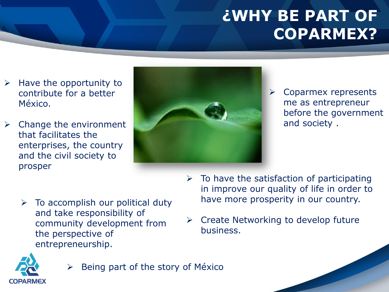# **¿WHY BE PART OF COPARMEX?**

- $\triangleright$  Have the opportunity to contribute for a better México.
- $\triangleright$  Change the environment that facilitates the enterprises, the country and the civil society to prosper



 Coparmex represents me as entrepreneur before the government and society .

- $\triangleright$  To accomplish our political duty and take responsibility of community development from the perspective of entrepreneurship.
- $\triangleright$  To have the satisfaction of participating in improve our quality of life in order to have more prosperity in our country.
- $\triangleright$  Create Networking to develop future business.



Being part of the story of México